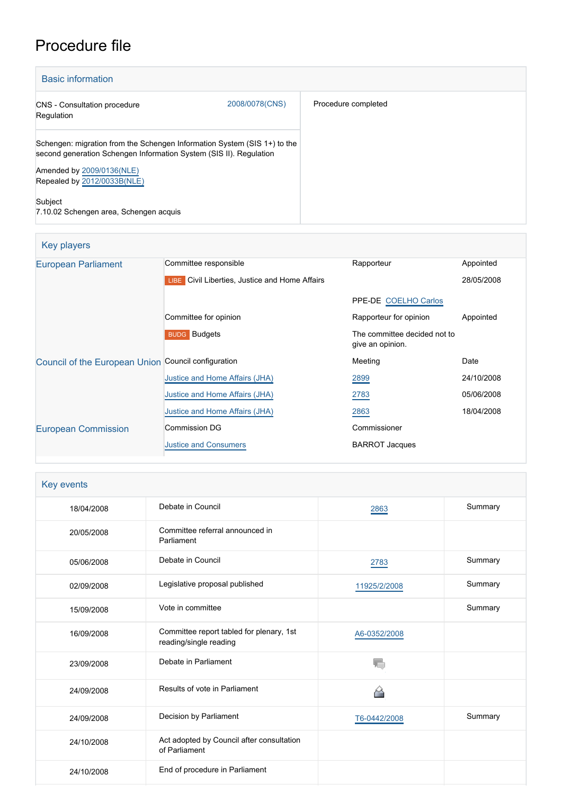# Procedure file

| <b>Basic information</b>                                                                                                                       |                |                     |
|------------------------------------------------------------------------------------------------------------------------------------------------|----------------|---------------------|
| <b>CNS</b> - Consultation procedure<br>Regulation                                                                                              | 2008/0078(CNS) | Procedure completed |
| Schengen: migration from the Schengen Information System (SIS 1+) to the<br>second generation Schengen Information System (SIS II). Regulation |                |                     |
| Amended by 2009/0136(NLE)<br>Repealed by 2012/0033B(NLE)                                                                                       |                |                     |
| Subject<br>7.10.02 Schengen area, Schengen acquis                                                                                              |                |                     |

| <b>Key players</b>                                  |                                                       |                                                  |            |  |  |
|-----------------------------------------------------|-------------------------------------------------------|--------------------------------------------------|------------|--|--|
| <b>European Parliament</b>                          | Committee responsible                                 | Rapporteur                                       | Appointed  |  |  |
|                                                     | <b>LIBE</b> Civil Liberties, Justice and Home Affairs |                                                  | 28/05/2008 |  |  |
|                                                     |                                                       | PPE-DE COELHO Carlos                             |            |  |  |
|                                                     | Committee for opinion                                 | Rapporteur for opinion                           | Appointed  |  |  |
|                                                     | <b>BUDG</b> Budgets                                   | The committee decided not to<br>give an opinion. |            |  |  |
| Council of the European Union Council configuration |                                                       | Meeting                                          | Date       |  |  |
|                                                     | Justice and Home Affairs (JHA)                        | 2899                                             | 24/10/2008 |  |  |
|                                                     | Justice and Home Affairs (JHA)                        | 2783                                             | 05/06/2008 |  |  |
|                                                     | Justice and Home Affairs (JHA)                        | 2863                                             | 18/04/2008 |  |  |
| <b>European Commission</b>                          | <b>Commission DG</b>                                  | Commissioner                                     |            |  |  |
|                                                     | <b>Justice and Consumers</b>                          | <b>BARROT Jacques</b>                            |            |  |  |

| Key events |                                                                    |              |         |  |
|------------|--------------------------------------------------------------------|--------------|---------|--|
| 18/04/2008 | Debate in Council                                                  | 2863         | Summary |  |
| 20/05/2008 | Committee referral announced in<br>Parliament                      |              |         |  |
| 05/06/2008 | Debate in Council                                                  | 2783         | Summary |  |
| 02/09/2008 | Legislative proposal published                                     | 11925/2/2008 | Summary |  |
| 15/09/2008 | Vote in committee                                                  |              | Summary |  |
| 16/09/2008 | Committee report tabled for plenary, 1st<br>reading/single reading | A6-0352/2008 |         |  |
| 23/09/2008 | Debate in Parliament                                               |              |         |  |
| 24/09/2008 | Results of vote in Parliament                                      | M            |         |  |
| 24/09/2008 | Decision by Parliament                                             | T6-0442/2008 | Summary |  |
| 24/10/2008 | Act adopted by Council after consultation<br>of Parliament         |              |         |  |
| 24/10/2008 | End of procedure in Parliament                                     |              |         |  |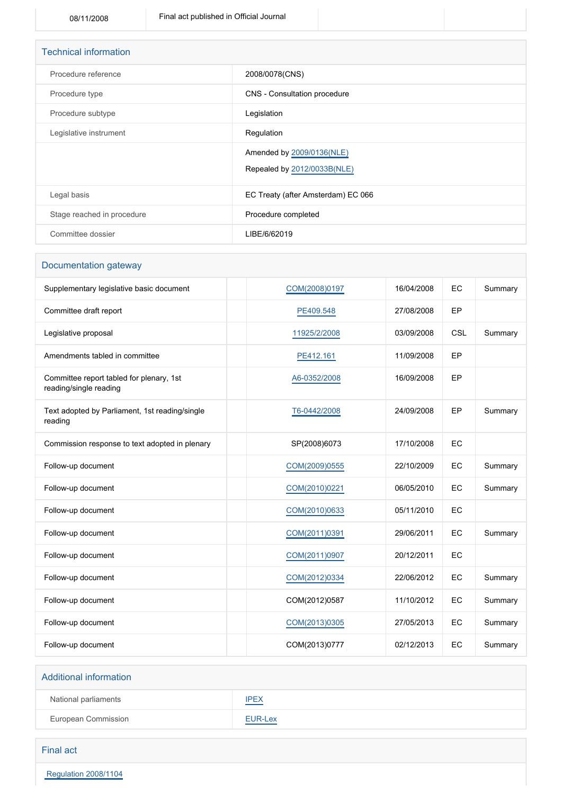| <b>Technical information</b> |                                                          |  |  |
|------------------------------|----------------------------------------------------------|--|--|
| Procedure reference          | 2008/0078(CNS)                                           |  |  |
| Procedure type               | CNS - Consultation procedure                             |  |  |
| Procedure subtype            | Legislation                                              |  |  |
| Legislative instrument       | Regulation                                               |  |  |
|                              | Amended by 2009/0136(NLE)<br>Repealed by 2012/0033B(NLE) |  |  |
| Legal basis                  | EC Treaty (after Amsterdam) EC 066                       |  |  |
| Stage reached in procedure   | Procedure completed                                      |  |  |
| Committee dossier            | LIBE/6/62019                                             |  |  |

### Documentation gateway

| Supplementary legislative basic document                           | COM(2008)0197 | 16/04/2008 | EC  | Summary |
|--------------------------------------------------------------------|---------------|------------|-----|---------|
| Committee draft report                                             | PE409.548     | 27/08/2008 | EP  |         |
| Legislative proposal                                               | 11925/2/2008  | 03/09/2008 | CSL | Summary |
| Amendments tabled in committee                                     | PE412.161     | 11/09/2008 | EP  |         |
| Committee report tabled for plenary, 1st<br>reading/single reading | A6-0352/2008  | 16/09/2008 | EP  |         |
| Text adopted by Parliament, 1st reading/single<br>reading          | T6-0442/2008  | 24/09/2008 | EP  | Summary |
| Commission response to text adopted in plenary                     | SP(2008)6073  | 17/10/2008 | EC  |         |
| Follow-up document                                                 | COM(2009)0555 | 22/10/2009 | EC  | Summary |
| Follow-up document                                                 | COM(2010)0221 | 06/05/2010 | EC  | Summary |
| Follow-up document                                                 | COM(2010)0633 | 05/11/2010 | EC  |         |
| Follow-up document                                                 | COM(2011)0391 | 29/06/2011 | EC  | Summary |
| Follow-up document                                                 | COM(2011)0907 | 20/12/2011 | EC  |         |
| Follow-up document                                                 | COM(2012)0334 | 22/06/2012 | EC  | Summary |
| Follow-up document                                                 | COM(2012)0587 | 11/10/2012 | EC  | Summary |
| Follow-up document                                                 | COM(2013)0305 | 27/05/2013 | EC  | Summary |
| Follow-up document                                                 | COM(2013)0777 | 02/12/2013 | EC  | Summary |

## Additional information National parliaments **[IPEX](http://www.ipex.eu/IPEXL-WEB/dossier/dossier.do?code=CNS&year=2008&number=0078&appLng=EN)** European Commission **[EUR-Lex](http://ec.europa.eu/prelex/liste_resultats.cfm?CL=en&ReqId=0&DocType=CNS&DocYear=2008&DocNum=0078)**

### Final act

 [Regulation 2008/1104](https://eur-lex.europa.eu/smartapi/cgi/sga_doc?smartapi!celexplus!prod!CELEXnumdoc&lg=EN&numdoc=32008R1104)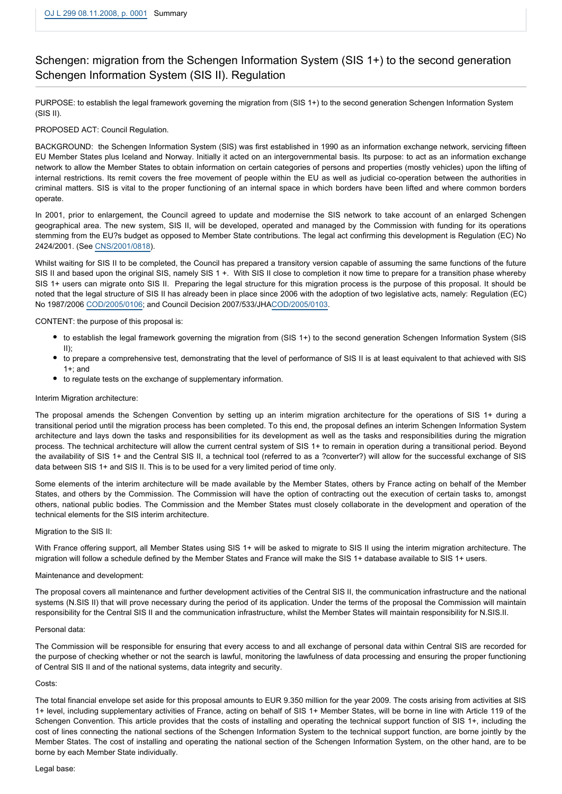## Schengen: migration from the Schengen Information System (SIS 1+) to the second generation Schengen Information System (SIS II). Regulation

PURPOSE: to establish the legal framework governing the migration from (SIS 1+) to the second generation Schengen Information System (SIS II).

#### PROPOSED ACT: Council Regulation.

BACKGROUND: the Schengen Information System (SIS) was first established in 1990 as an information exchange network, servicing fifteen EU Member States plus Iceland and Norway. Initially it acted on an intergovernmental basis. Its purpose: to act as an information exchange network to allow the Member States to obtain information on certain categories of persons and properties (mostly vehicles) upon the lifting of internal restrictions. Its remit covers the free movement of people within the EU as well as judicial co-operation between the authorities in criminal matters. SIS is vital to the proper functioning of an internal space in which borders have been lifted and where common borders operate.

In 2001, prior to enlargement, the Council agreed to update and modernise the SIS network to take account of an enlarged Schengen geographical area. The new system, SIS II, will be developed, operated and managed by the Commission with funding for its operations stemming from the EU?s budget as opposed to Member State contributions. The legal act confirming this development is Regulation (EC) No 2424/2001. (See [CNS/2001/0818](http://www.europarl.europa.eu/oeil/FindByProcnum.do?lang=en&procnum=CNS/2001/0818)).

Whilst waiting for SIS II to be completed, the Council has prepared a transitory version capable of assuming the same functions of the future SIS II and based upon the original SIS, namely SIS 1 +. With SIS II close to completion it now time to prepare for a transition phase whereby SIS 1+ users can migrate onto SIS II. Preparing the legal structure for this migration process is the purpose of this proposal. It should be noted that the legal structure of SIS II has already been in place since 2006 with the adoption of two legislative acts, namely: Regulation (EC) No 1987/2006 [COD/2005/0106](http://www.europarl.europa.eu/oeil/FindByProcnum.do?lang=en&procnum=COD/2005/0106); and Council Decision 2007/533/JHA[COD/2005/0103](http://www.europarl.europa.eu/oeil/FindByProcnum.do?lang=en&procnum=COD/2005/0103).

CONTENT: the purpose of this proposal is:

- to establish the legal framework governing the migration from (SIS 1+) to the second generation Schengen Information System (SIS II);
- to prepare a comprehensive test, demonstrating that the level of performance of SIS II is at least equivalent to that achieved with SIS 1+; and
- to regulate tests on the exchange of supplementary information.

#### Interim Migration architecture:

The proposal amends the Schengen Convention by setting up an interim migration architecture for the operations of SIS 1+ during a transitional period until the migration process has been completed. To this end, the proposal defines an interim Schengen Information System architecture and lays down the tasks and responsibilities for its development as well as the tasks and responsibilities during the migration process. The technical architecture will allow the current central system of SIS 1+ to remain in operation during a transitional period. Beyond the availability of SIS 1+ and the Central SIS II, a technical tool (referred to as a ?converter?) will allow for the successful exchange of SIS data between SIS 1+ and SIS II. This is to be used for a very limited period of time only.

Some elements of the interim architecture will be made available by the Member States, others by France acting on behalf of the Member States, and others by the Commission. The Commission will have the option of contracting out the execution of certain tasks to, amongst others, national public bodies. The Commission and the Member States must closely collaborate in the development and operation of the technical elements for the SIS interim architecture.

#### Migration to the SIS II:

With France offering support, all Member States using SIS 1+ will be asked to migrate to SIS II using the interim migration architecture. The migration will follow a schedule defined by the Member States and France will make the SIS 1+ database available to SIS 1+ users.

#### Maintenance and development:

The proposal covers all maintenance and further development activities of the Central SIS II, the communication infrastructure and the national systems (N.SIS II) that will prove necessary during the period of its application. Under the terms of the proposal the Commission will maintain responsibility for the Central SIS II and the communication infrastructure, whilst the Member States will maintain responsibility for N.SIS.II.

#### Personal data:

The Commission will be responsible for ensuring that every access to and all exchange of personal data within Central SIS are recorded for the purpose of checking whether or not the search is lawful, monitoring the lawfulness of data processing and ensuring the proper functioning of Central SIS II and of the national systems, data integrity and security.

#### Costs:

The total financial envelope set aside for this proposal amounts to EUR 9.350 million for the year 2009. The costs arising from activities at SIS 1+ level, including supplementary activities of France, acting on behalf of SIS 1+ Member States, will be borne in line with Article 119 of the Schengen Convention. This article provides that the costs of installing and operating the technical support function of SIS 1+, including the cost of lines connecting the national sections of the Schengen Information System to the technical support function, are borne jointly by the Member States. The cost of installing and operating the national section of the Schengen Information System, on the other hand, are to be borne by each Member State individually.

#### Legal base: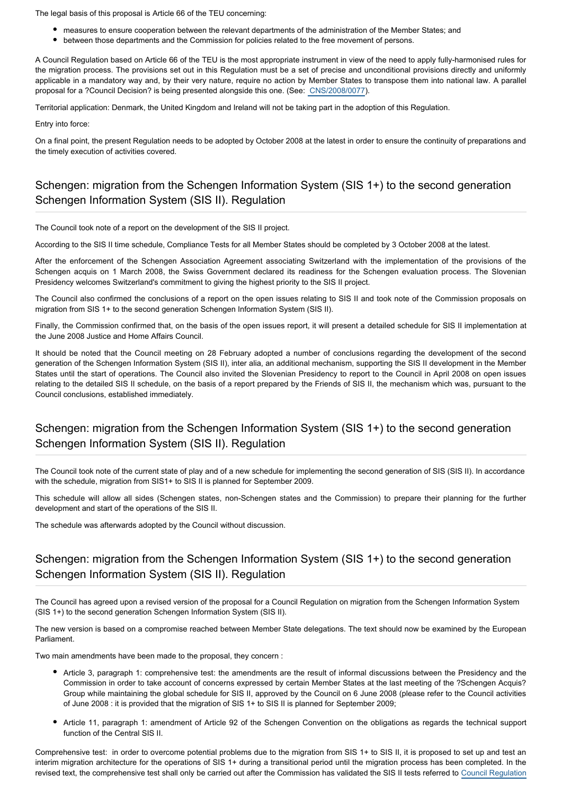The legal basis of this proposal is Article 66 of the TEU concerning:

- measures to ensure cooperation between the relevant departments of the administration of the Member States; and
- between those departments and the Commission for policies related to the free movement of persons.

A Council Regulation based on Article 66 of the TEU is the most appropriate instrument in view of the need to apply fully-harmonised rules for the migration process. The provisions set out in this Regulation must be a set of precise and unconditional provisions directly and uniformly applicable in a mandatory way and, by their very nature, require no action by Member States to transpose them into national law. A parallel proposal for a ?Council Decision? is being presented alongside this one. (See: [CNS/2008/0077\)](http://www.europarl.europa.eu/oeil/FindByProcnum.do?lang=en&procnum=CNS/2008/0077).

Territorial application: Denmark, the United Kingdom and Ireland will not be taking part in the adoption of this Regulation.

Entry into force:

On a final point, the present Regulation needs to be adopted by October 2008 at the latest in order to ensure the continuity of preparations and the timely execution of activities covered.

### Schengen: migration from the Schengen Information System (SIS 1+) to the second generation Schengen Information System (SIS II). Regulation

The Council took note of a report on the development of the SIS II project.

According to the SIS II time schedule, Compliance Tests for all Member States should be completed by 3 October 2008 at the latest.

After the enforcement of the Schengen Association Agreement associating Switzerland with the implementation of the provisions of the Schengen acquis on 1 March 2008, the Swiss Government declared its readiness for the Schengen evaluation process. The Slovenian Presidency welcomes Switzerland's commitment to giving the highest priority to the SIS II project.

The Council also confirmed the conclusions of a report on the open issues relating to SIS II and took note of the Commission proposals on migration from SIS 1+ to the second generation Schengen Information System (SIS II).

Finally, the Commission confirmed that, on the basis of the open issues report, it will present a detailed schedule for SIS II implementation at the June 2008 Justice and Home Affairs Council.

It should be noted that the Council meeting on 28 February adopted a number of conclusions regarding the development of the second generation of the Schengen Information System (SIS II), inter alia, an additional mechanism, supporting the SIS II development in the Member States until the start of operations. The Council also invited the Slovenian Presidency to report to the Council in April 2008 on open issues relating to the detailed SIS II schedule, on the basis of a report prepared by the Friends of SIS II, the mechanism which was, pursuant to the Council conclusions, established immediately.

## Schengen: migration from the Schengen Information System (SIS 1+) to the second generation Schengen Information System (SIS II). Regulation

The Council took note of the current state of play and of a new schedule for implementing the second generation of SIS (SIS II). In accordance with the schedule, migration from SIS1+ to SIS II is planned for September 2009.

This schedule will allow all sides (Schengen states, non-Schengen states and the Commission) to prepare their planning for the further development and start of the operations of the SIS II.

The schedule was afterwards adopted by the Council without discussion.

## Schengen: migration from the Schengen Information System (SIS 1+) to the second generation Schengen Information System (SIS II). Regulation

The Council has agreed upon a revised version of the proposal for a Council Regulation on migration from the Schengen Information System (SIS 1+) to the second generation Schengen Information System (SIS II).

The new version is based on a compromise reached between Member State delegations. The text should now be examined by the European Parliament.

Two main amendments have been made to the proposal, they concern :

- Article 3, paragraph 1: comprehensive test: the amendments are the result of informal discussions between the Presidency and the Commission in order to take account of concerns expressed by certain Member States at the last meeting of the ?Schengen Acquis? Group while maintaining the global schedule for SIS II, approved by the Council on 6 June 2008 (please refer to the Council activities of June 2008 : it is provided that the migration of SIS 1+ to SIS II is planned for September 2009;
- Article 11, paragraph 1: amendment of Article 92 of the Schengen Convention on the obligations as regards the technical support function of the Central SIS II.

Comprehensive test: in order to overcome potential problems due to the migration from SIS 1+ to SIS II, it is proposed to set up and test an interim migration architecture for the operations of SIS 1+ during a transitional period until the migration process has been completed. In the revised text, the comprehensive test shall only be carried out after the Commission has validated the SIS II tests referred to [Council Regulation](http://eur-lex.europa.eu/LexUriServ/LexUriServ.do?uri=OJ:L:2008:057:0001:0005:EN:PDF)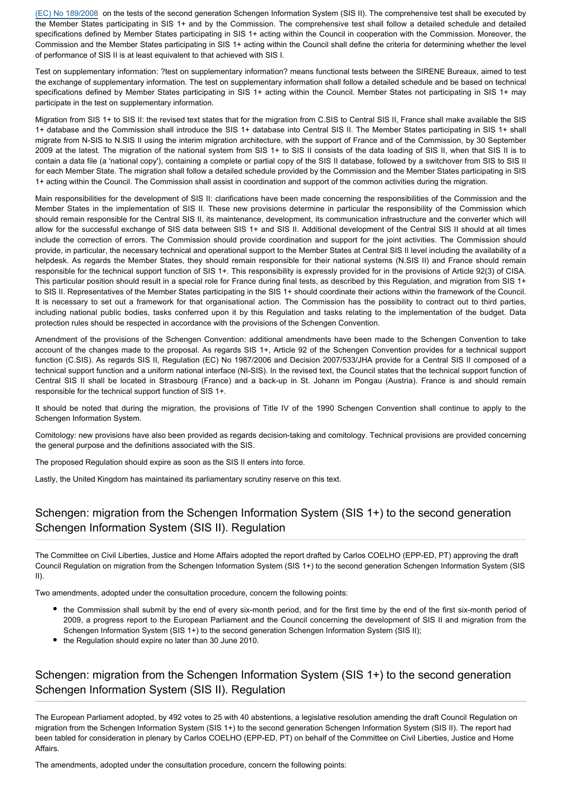[\(EC\) No 189/2008](http://eur-lex.europa.eu/LexUriServ/LexUriServ.do?uri=OJ:L:2008:057:0001:0005:EN:PDF) on the tests of the second generation Schengen Information System (SIS II). The comprehensive test shall be executed by the Member States participating in SIS 1+ and by the Commission. The comprehensive test shall follow a detailed schedule and detailed specifications defined by Member States participating in SIS 1+ acting within the Council in cooperation with the Commission. Moreover, the Commission and the Member States participating in SIS 1+ acting within the Council shall define the criteria for determining whether the level of performance of SIS II is at least equivalent to that achieved with SIS I.

Test on supplementary information: ?test on supplementary information? means functional tests between the SIRENE Bureaux, aimed to test the exchange of supplementary information. The test on supplementary information shall follow a detailed schedule and be based on technical specifications defined by Member States participating in SIS 1+ acting within the Council. Member States not participating in SIS 1+ may participate in the test on supplementary information.

Migration from SIS 1+ to SIS II: the revised text states that for the migration from C.SIS to Central SIS II, France shall make available the SIS 1+ database and the Commission shall introduce the SIS 1+ database into Central SIS II. The Member States participating in SIS 1+ shall migrate from N-SIS to N.SIS II using the interim migration architecture, with the support of France and of the Commission, by 30 September 2009 at the latest. The migration of the national system from SIS 1+ to SIS II consists of the data loading of SIS II, when that SIS II is to contain a data file (a 'national copy'), containing a complete or partial copy of the SIS II database, followed by a switchover from SIS to SIS II for each Member State. The migration shall follow a detailed schedule provided by the Commission and the Member States participating in SIS 1+ acting within the Council. The Commission shall assist in coordination and support of the common activities during the migration.

Main responsibilities for the development of SIS II: clarifications have been made concerning the responsibilities of the Commission and the Member States in the implementation of SIS II. These new provisions determine in particular the responsibility of the Commission which should remain responsible for the Central SIS II, its maintenance, development, its communication infrastructure and the converter which will allow for the successful exchange of SIS data between SIS 1+ and SIS II. Additional development of the Central SIS II should at all times include the correction of errors. The Commission should provide coordination and support for the joint activities. The Commission should provide, in particular, the necessary technical and operational support to the Member States at Central SIS II level including the availability of a helpdesk. As regards the Member States, they should remain responsible for their national systems (N.SIS II) and France should remain responsible for the technical support function of SIS 1+. This responsibility is expressly provided for in the provisions of Article 92(3) of CISA. This particular position should result in a special role for France during final tests, as described by this Regulation, and migration from SIS 1+ to SIS II. Representatives of the Member States participating in the SIS 1+ should coordinate their actions within the framework of the Council. It is necessary to set out a framework for that organisational action. The Commission has the possibility to contract out to third parties, including national public bodies, tasks conferred upon it by this Regulation and tasks relating to the implementation of the budget. Data protection rules should be respected in accordance with the provisions of the Schengen Convention.

Amendment of the provisions of the Schengen Convention: additional amendments have been made to the Schengen Convention to take account of the changes made to the proposal. As regards SIS 1+, Article 92 of the Schengen Convention provides for a technical support function (C.SIS). As regards SIS II, Regulation (EC) No 1987/2006 and Decision 2007/533/JHA provide for a Central SIS II composed of a technical support function and a uniform national interface (NI-SIS). In the revised text, the Council states that the technical support function of Central SIS II shall be located in Strasbourg (France) and a back-up in St. Johann im Pongau (Austria). France is and should remain responsible for the technical support function of SIS 1+.

It should be noted that during the migration, the provisions of Title IV of the 1990 Schengen Convention shall continue to apply to the Schengen Information System.

Comitology: new provisions have also been provided as regards decision-taking and comitology. Technical provisions are provided concerning the general purpose and the definitions associated with the SIS.

The proposed Regulation should expire as soon as the SIS II enters into force.

Lastly, the United Kingdom has maintained its parliamentary scrutiny reserve on this text.

## Schengen: migration from the Schengen Information System (SIS 1+) to the second generation Schengen Information System (SIS II). Regulation

The Committee on Civil Liberties, Justice and Home Affairs adopted the report drafted by Carlos COELHO (EPP-ED, PT) approving the draft Council Regulation on migration from the Schengen Information System (SIS 1+) to the second generation Schengen Information System (SIS II).

Two amendments, adopted under the consultation procedure, concern the following points:

- the Commission shall submit by the end of every six-month period, and for the first time by the end of the first six-month period of 2009, a progress report to the European Parliament and the Council concerning the development of SIS II and migration from the Schengen Information System (SIS 1+) to the second generation Schengen Information System (SIS II);
- the Regulation should expire no later than 30 June 2010.

## Schengen: migration from the Schengen Information System (SIS 1+) to the second generation Schengen Information System (SIS II). Regulation

The European Parliament adopted, by 492 votes to 25 with 40 abstentions, a legislative resolution amending the draft Council Regulation on migration from the Schengen Information System (SIS 1+) to the second generation Schengen Information System (SIS II). The report had been tabled for consideration in plenary by Carlos COELHO (EPP-ED, PT) on behalf of the Committee on Civil Liberties, Justice and Home Affairs.

The amendments, adopted under the consultation procedure, concern the following points: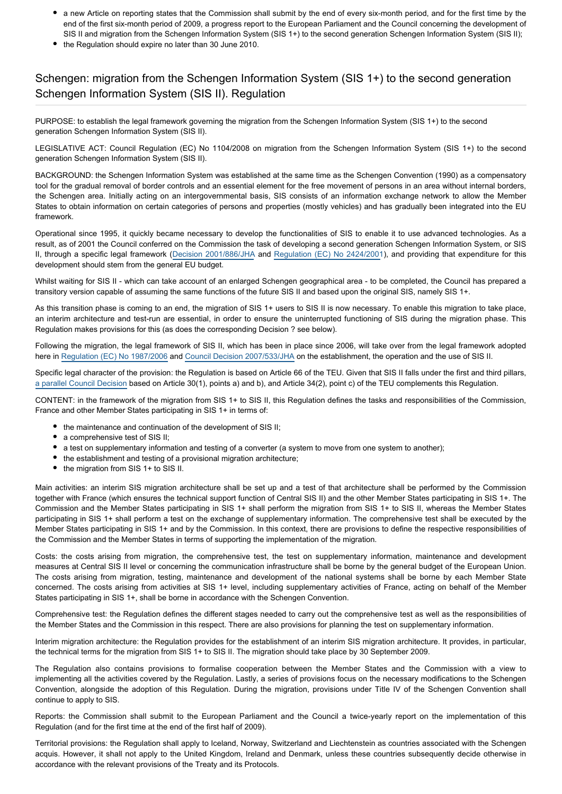- a new Article on reporting states that the Commission shall submit by the end of every six-month period, and for the first time by the end of the first six-month period of 2009, a progress report to the European Parliament and the Council concerning the development of SIS II and migration from the Schengen Information System (SIS 1+) to the second generation Schengen Information System (SIS II);
- the Regulation should expire no later than 30 June 2010.

### Schengen: migration from the Schengen Information System (SIS 1+) to the second generation Schengen Information System (SIS II). Regulation

PURPOSE: to establish the legal framework governing the migration from the Schengen Information System (SIS 1+) to the second generation Schengen Information System (SIS II).

LEGISLATIVE ACT: Council Regulation (EC) No 1104/2008 on migration from the Schengen Information System (SIS 1+) to the second generation Schengen Information System (SIS II).

BACKGROUND: the Schengen Information System was established at the same time as the Schengen Convention (1990) as a compensatory tool for the gradual removal of border controls and an essential element for the free movement of persons in an area without internal borders, the Schengen area. Initially acting on an intergovernmental basis, SIS consists of an information exchange network to allow the Member States to obtain information on certain categories of persons and properties (mostly vehicles) and has gradually been integrated into the EU framework.

Operational since 1995, it quickly became necessary to develop the functionalities of SIS to enable it to use advanced technologies. As a result, as of 2001 the Council conferred on the Commission the task of developing a second generation Schengen Information System, or SIS II, through a specific legal framework ([Decision 2001/886/JHA](http://www.europarl.europa.eu/oeil/FindByProcnum.do?lang=en&procnum=CNS/2001/0819) and [Regulation \(EC\) No 2424/2001](http://www.europarl.europa.eu/oeil/FindByProcnum.do?lang=en&procnum=CNS/2001/0818)), and providing that expenditure for this development should stem from the general EU budget.

Whilst waiting for SIS II - which can take account of an enlarged Schengen geographical area - to be completed, the Council has prepared a transitory version capable of assuming the same functions of the future SIS II and based upon the original SIS, namely SIS 1+.

As this transition phase is coming to an end, the migration of SIS 1+ users to SIS II is now necessary. To enable this migration to take place, an interim architecture and test-run are essential, in order to ensure the uninterrupted functioning of SIS during the migration phase. This Regulation makes provisions for this (as does the corresponding Decision ? see below).

Following the migration, the legal framework of SIS II, which has been in place since 2006, will take over from the legal framework adopted here in [Regulation \(EC\) No 1987/2006](http://www.europarl.europa.eu/oeil/FindByProcnum.do?lang=en&procnum=COD/2005/0106) and [Council Decision 2007/533/JHA](http://www.europarl.europa.eu/oeil/FindByProcnum.do?lang=en&procnum=CNS/2005/0103) on the establishment, the operation and the use of SIS II.

Specific legal character of the provision: the Regulation is based on Article 66 of the TEU. Given that SIS II falls under the first and third pillars, [a parallel Council Decision](http://www.europarl.europa.eu/oeil/FindByProcnum.do?lang=en&procnum=CNS/2008/0077) based on Article 30(1), points a) and b), and Article 34(2), point c) of the TEU complements this Regulation.

CONTENT: in the framework of the migration from SIS 1+ to SIS II, this Regulation defines the tasks and responsibilities of the Commission, France and other Member States participating in SIS 1+ in terms of:

- the maintenance and continuation of the development of SIS II;
- a comprehensive test of SIS II;
- a test on supplementary information and testing of a converter (a system to move from one system to another);
- the establishment and testing of a provisional migration architecture;
- the migration from SIS 1+ to SIS II.

Main activities: an interim SIS migration architecture shall be set up and a test of that architecture shall be performed by the Commission together with France (which ensures the technical support function of Central SIS II) and the other Member States participating in SIS 1+. The Commission and the Member States participating in SIS 1+ shall perform the migration from SIS 1+ to SIS II, whereas the Member States participating in SIS 1+ shall perform a test on the exchange of supplementary information. The comprehensive test shall be executed by the Member States participating in SIS 1+ and by the Commission. In this context, there are provisions to define the respective responsibilities of the Commission and the Member States in terms of supporting the implementation of the migration.

Costs: the costs arising from migration, the comprehensive test, the test on supplementary information, maintenance and development measures at Central SIS II level or concerning the communication infrastructure shall be borne by the general budget of the European Union. The costs arising from migration, testing, maintenance and development of the national systems shall be borne by each Member State concerned. The costs arising from activities at SIS 1+ level, including supplementary activities of France, acting on behalf of the Member States participating in SIS 1+, shall be borne in accordance with the Schengen Convention.

Comprehensive test: the Regulation defines the different stages needed to carry out the comprehensive test as well as the responsibilities of the Member States and the Commission in this respect. There are also provisions for planning the test on supplementary information.

Interim migration architecture: the Regulation provides for the establishment of an interim SIS migration architecture. It provides, in particular, the technical terms for the migration from SIS 1+ to SIS II. The migration should take place by 30 September 2009.

The Regulation also contains provisions to formalise cooperation between the Member States and the Commission with a view to implementing all the activities covered by the Regulation. Lastly, a series of provisions focus on the necessary modifications to the Schengen Convention, alongside the adoption of this Regulation. During the migration, provisions under Title IV of the Schengen Convention shall continue to apply to SIS.

Reports: the Commission shall submit to the European Parliament and the Council a twice-yearly report on the implementation of this Regulation (and for the first time at the end of the first half of 2009).

Territorial provisions: the Regulation shall apply to Iceland, Norway, Switzerland and Liechtenstein as countries associated with the Schengen acquis. However, it shall not apply to the United Kingdom, Ireland and Denmark, unless these countries subsequently decide otherwise in accordance with the relevant provisions of the Treaty and its Protocols.